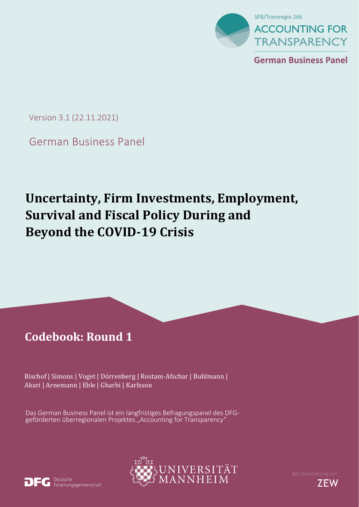

**German Business Panel** 

Version 3.1 (22.11.2021)

German Business Panel

# **Uncertainty, Firm Investments, Employment, Survival and Fiscal Policy During and Beyond the COVID-19 Crisis**

## **Codebook: Round 1**

Bischof | Simons | Voget | Dörrenberg | Rostam-Afschar | Buhlmann | Akari | Arnemann | Eble | Gharbi | Karlsson

Das German Business Panel ist ein langfristiges Befragungspanel des DFGgeförderten überregionalen Projektes "Accounting for Transparency"



Deutsche Forschungsgemeinschaft



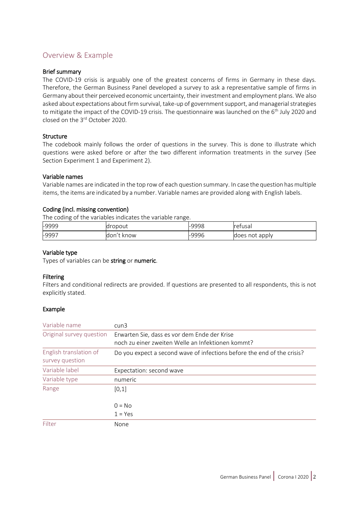## Overview & Example

#### Brief summary

The COVID-19 crisis is arguably one of the greatest concerns of firms in Germany in these days. Therefore, the German Business Panel developed a survey to ask a representative sample of firms in Germany about their perceived economic uncertainty, their investment and employment plans. We also asked about expectations about firm survival, take-up of government support, and managerial strategies to mitigate the impact of the COVID-19 crisis. The questionnaire was launched on the 6<sup>th</sup> July 2020 and closed on the 3rd October 2020.

#### **Structure**

The codebook mainly follows the order of questions in the survey. This is done to illustrate which questions were asked before or after the two different information treatments in the survey (See Section Experiment 1 and Experiment 2).

#### Variable names

Variable names are indicated in the top row of each question summary. In case the question hasmultiple items, the items are indicated by a number. Variable names are provided along with English labels.

#### Coding (incl. missing convention)

The coding of the variables indicates the variable range.

| -9999   | 'ropout       | -9998 | <b>r</b> efusal |
|---------|---------------|-------|-----------------|
| $-9997$ | : know<br>don | -9996 | does not apply  |

#### Variable type

Types of variables can be string or numeric.

#### Filtering

Filters and conditional redirects are provided. If questions are presented to all respondents, this is not explicitly stated.

#### Example

| Variable name                             | $c$ un $3$                                                                                        |
|-------------------------------------------|---------------------------------------------------------------------------------------------------|
| Original survey question                  | Erwarten Sie, dass es vor dem Ende der Krise<br>noch zu einer zweiten Welle an Infektionen kommt? |
| English translation of<br>survey question | Do you expect a second wave of infections before the end of the crisis?                           |
| Variable label                            | Expectation: second wave                                                                          |
| Variable type                             | numeric                                                                                           |
| Range                                     | [0,1]                                                                                             |
|                                           | $0 = No$                                                                                          |
|                                           | $1 = Yes$                                                                                         |
| Filter                                    | None                                                                                              |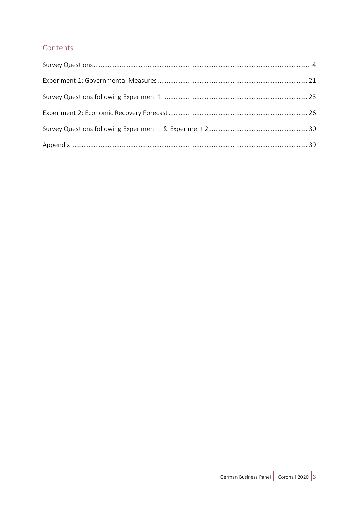## Contents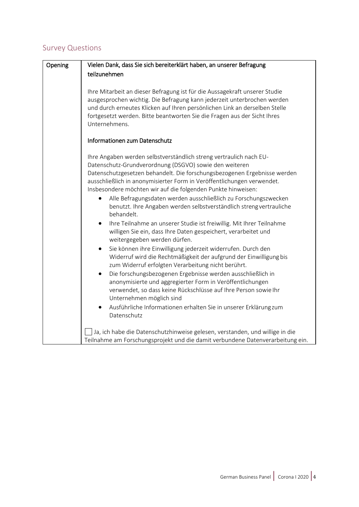## Survey Questions

| Opening | Vielen Dank, dass Sie sich bereiterklärt haben, an unserer Befragung                                                                                                                                                                 |
|---------|--------------------------------------------------------------------------------------------------------------------------------------------------------------------------------------------------------------------------------------|
|         | teilzunehmen                                                                                                                                                                                                                         |
|         |                                                                                                                                                                                                                                      |
|         | Ihre Mitarbeit an dieser Befragung ist für die Aussagekraft unserer Studie                                                                                                                                                           |
|         | ausgesprochen wichtig. Die Befragung kann jederzeit unterbrochen werden                                                                                                                                                              |
|         | und durch erneutes Klicken auf Ihren persönlichen Link an derselben Stelle<br>fortgesetzt werden. Bitte beantworten Sie die Fragen aus der Sicht Ihres                                                                               |
|         | Unternehmens.                                                                                                                                                                                                                        |
|         |                                                                                                                                                                                                                                      |
|         | Informationen zum Datenschutz                                                                                                                                                                                                        |
|         | Ihre Angaben werden selbstverständlich streng vertraulich nach EU-<br>Datenschutz-Grundverordnung (DSGVO) sowie den weiteren                                                                                                         |
|         | Datenschutzgesetzen behandelt. Die forschungsbezogenen Ergebnisse werden<br>ausschließlich in anonymisierter Form in Veröffentlichungen verwendet.                                                                                   |
|         | Insbesondere möchten wir auf die folgenden Punkte hinweisen:                                                                                                                                                                         |
|         | Alle Befragungsdaten werden ausschließlich zu Forschungszwecken<br>benutzt. Ihre Angaben werden selbstverständlich streng vertrauliche<br>behandelt.                                                                                 |
|         | Ihre Teilnahme an unserer Studie ist freiwillig. Mit Ihrer Teilnahme<br>$\bullet$<br>willigen Sie ein, dass Ihre Daten gespeichert, verarbeitet und<br>weitergegeben werden dürfen.                                                  |
|         | Sie können ihre Einwilligung jederzeit widerrufen. Durch den<br>٠<br>Widerruf wird die Rechtmäßigkeit der aufgrund der Einwilligung bis<br>zum Widerruf erfolgten Verarbeitung nicht berührt.                                        |
|         | Die forschungsbezogenen Ergebnisse werden ausschließlich in<br>$\bullet$<br>anonymisierte und aggregierter Form in Veröffentlichungen<br>verwendet, so dass keine Rückschlüsse auf Ihre Person sowie Ihr<br>Unternehmen möglich sind |
|         | Ausführliche Informationen erhalten Sie in unserer Erklärungzum<br>$\bullet$<br>Datenschutz                                                                                                                                          |
|         | Ja, ich habe die Datenschutzhinweise gelesen, verstanden, und willige in die<br>Teilnahme am Forschungsprojekt und die damit verbundene Datenverarbeitung ein.                                                                       |
|         |                                                                                                                                                                                                                                      |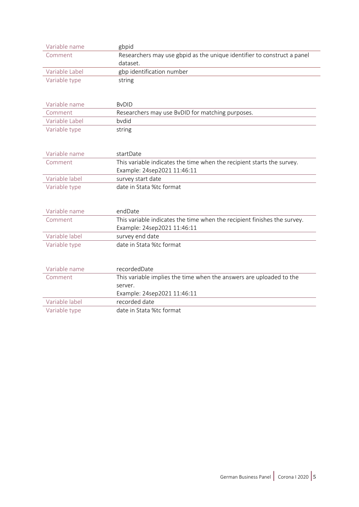| Variable name  | gbpid                                                                    |
|----------------|--------------------------------------------------------------------------|
| Comment        | Researchers may use gbpid as the unique identifier to construct a panel  |
|                | dataset.                                                                 |
| Variable Label | gbp identification number                                                |
| Variable type  | string                                                                   |
|                |                                                                          |
| Variable name  | <b>B</b> vDID                                                            |
| Comment        | Researchers may use BvDID for matching purposes.                         |
| Variable Label | bydid                                                                    |
| Variable type  | string                                                                   |
|                |                                                                          |
| Variable name  | startDate                                                                |
| Comment        | This variable indicates the time when the recipient starts the survey.   |
|                | Example: 24sep2021 11:46:11                                              |
| Variable label | survey start date                                                        |
| Variable type  | date in Stata %tc format                                                 |
|                |                                                                          |
| Variable name  | endDate                                                                  |
| Comment        | This variable indicates the time when the recipient finishes the survey. |
|                | Example: 24sep2021 11:46:11                                              |
| Variable label | survey end date                                                          |
| Variable type  | date in Stata %tc format                                                 |
|                |                                                                          |
| Variable name  | recordedDate                                                             |
| Comment        | This variable implies the time when the answers are uploaded to the      |
|                | server.                                                                  |
|                | Example: 24sep2021 11:46:11                                              |
| Variable label | recorded date                                                            |
| Variable type  | date in Stata %tc format                                                 |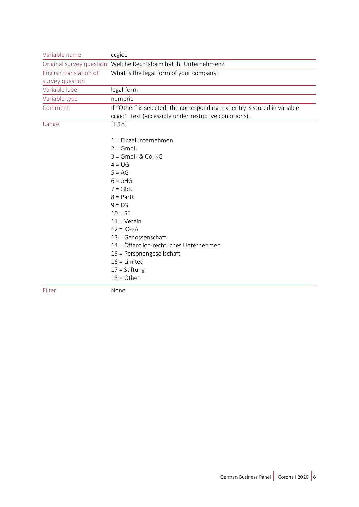| Variable name          | ccgic1                                                                     |
|------------------------|----------------------------------------------------------------------------|
|                        | Original survey question Welche Rechtsform hat ihr Unternehmen?            |
| English translation of | What is the legal form of your company?                                    |
| survey question        |                                                                            |
| Variable label         | legal form                                                                 |
| Variable type          | numeric                                                                    |
| Comment                | If "Other" is selected, the corresponding text entry is stored in variable |
|                        | ccgic1_text (accessible under restrictive conditions).                     |
| Range                  | [1, 18]                                                                    |
|                        |                                                                            |
|                        | $1 =$ Einzelunternehmen                                                    |
|                        | $2 = GmbH$                                                                 |
|                        | $3 =$ GmbH & Co. KG                                                        |
|                        | $4 = UG$                                                                   |
|                        | $5 = AG$                                                                   |
|                        | $6 = oHG$                                                                  |
|                        | $7 = GbR$                                                                  |
|                        | $8 = PartG$                                                                |
|                        | $9 = KG$                                                                   |
|                        | $10 = SE$                                                                  |
|                        | $11 =$ Verein                                                              |
|                        | $12 = KGaA$                                                                |
|                        | $13 = Genossenschaft$                                                      |
|                        | 14 = Öffentlich-rechtliches Unternehmen                                    |
|                        | 15 = Personengesellschaft                                                  |
|                        | $16$ = Limited                                                             |
|                        | $17 = Stiftung$                                                            |
|                        | $18 =$ Other                                                               |
| Filter                 | None                                                                       |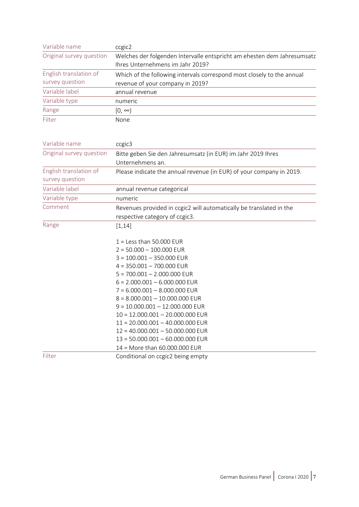| Variable name            | ccgic2                                                                  |
|--------------------------|-------------------------------------------------------------------------|
| Original survey question | Welches der folgenden Intervalle entspricht am ehesten dem Jahresumsatz |
|                          | Ihres Unternehmens im Jahr 2019?                                        |
| English translation of   | Which of the following intervals correspond most closely to the annual  |
| survey question          | revenue of your company in 2019?                                        |
| Variable label           | annual revenue                                                          |
| Variable type            | numeric                                                                 |
| Range                    | $[0, \infty)$                                                           |
| Filter                   | None                                                                    |

| Variable name            | ccgic3                                                               |
|--------------------------|----------------------------------------------------------------------|
| Original survey question | Bitte geben Sie den Jahresumsatz (in EUR) im Jahr 2019 Ihres         |
|                          | Unternehmens an.                                                     |
| English translation of   | Please indicate the annual revenue (in EUR) of your company in 2019. |
| survey question          |                                                                      |
| Variable label           | annual revenue categorical                                           |
| Variable type            | numeric                                                              |
| Comment                  | Revenues provided in ccgic2 will automatically be translated in the  |
|                          | respective category of ccgic3.                                       |
| Range                    | [1, 14]                                                              |
|                          | $1 =$ Less than 50.000 EUR                                           |
|                          | $2 = 50.000 - 100.000$ EUR                                           |
|                          | $3 = 100.001 - 350.000$ EUR                                          |
|                          | $4 = 350.001 - 700.000$ EUR                                          |
|                          | $5 = 700.001 - 2.000.000$ EUR                                        |
|                          | $6 = 2.000.001 - 6.000.000$ EUR                                      |
|                          | $7 = 6.000.001 - 8.000.000$ EUR                                      |
|                          | $8 = 8.000.001 - 10.000.000$ EUR                                     |
|                          | $9 = 10.000.001 - 12.000.000$ EUR                                    |
|                          | $10 = 12.000.001 - 20.000.000$ EUR                                   |
|                          | $11 = 20.000.001 - 40.000.000$ EUR                                   |
|                          | $12 = 40.000.001 - 50.000.000$ EUR                                   |
|                          | $13 = 50.000.001 - 60.000.000$ EUR                                   |
|                          | 14 = More than 60.000.000 EUR                                        |
| Filter                   | Conditional on ccgic2 being empty                                    |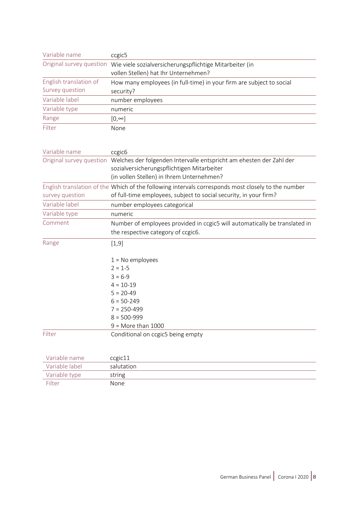| Variable name          | ccgic5                                                                                                                                                                                  |
|------------------------|-----------------------------------------------------------------------------------------------------------------------------------------------------------------------------------------|
|                        | Original survey question Wie viele sozialversicherungspflichtige Mitarbeiter (in<br>vollen Stellen) hat Ihr Unternehmen?                                                                |
| English translation of | How many employees (in full-time) in your firm are subject to social                                                                                                                    |
| Survey question        | security?                                                                                                                                                                               |
| Variable label         | number employees                                                                                                                                                                        |
| Variable type          | numeric                                                                                                                                                                                 |
| Range                  | $[0, \infty]$                                                                                                                                                                           |
| Filter                 | None                                                                                                                                                                                    |
| Variable name          | ccgic <sub>6</sub>                                                                                                                                                                      |
|                        | Original survey question Welches der folgenden Intervalle entspricht am ehesten der Zahl der<br>sozialversicherungspflichtigen Mitarbeiter<br>(in vollen Stellen) in Ihrem Unternehmen? |
|                        | English translation of the Which of the following intervals corresponds most closely to the number                                                                                      |
| survey question        | of full-time employees, subject to social security, in your firm?                                                                                                                       |
| Variable label         | number employees categorical                                                                                                                                                            |
| Variable type          | numeric                                                                                                                                                                                 |
| Comment                | Number of employees provided in ccgic5 will automatically be translated in<br>the respective category of ccgic6.                                                                        |
| Range                  | [1, 9]                                                                                                                                                                                  |
|                        | $1 = No$ employees                                                                                                                                                                      |
|                        | $2 = 1-5$                                                                                                                                                                               |
|                        | $3 = 6-9$                                                                                                                                                                               |
|                        | $4 = 10 - 19$                                                                                                                                                                           |
|                        | $5 = 20-49$                                                                                                                                                                             |
|                        | $6 = 50 - 249$                                                                                                                                                                          |
|                        | 7 = 250-499                                                                                                                                                                             |
|                        | $8 = 500 - 999$                                                                                                                                                                         |
|                        | $9 =$ More than 1000                                                                                                                                                                    |
| Filter                 | Conditional on ccgic5 being empty                                                                                                                                                       |
| Variable name          | ccgic11                                                                                                                                                                                 |
| <i>Mariable</i> Jahol  | $\sim$                                                                                                                                                                                  |

| Variable label | salutation |
|----------------|------------|
| Variable type  | string     |
| Filter         | None       |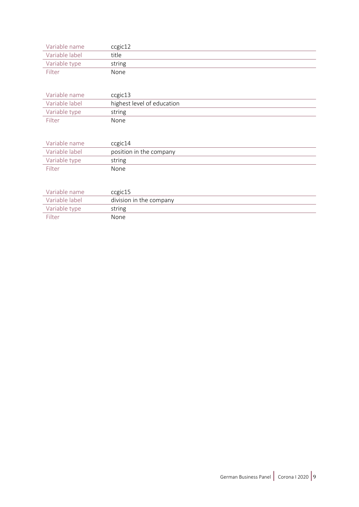| Variable name  | ccgic12 |
|----------------|---------|
| Variable label | title   |
| Variable type  | string  |
| Filter         | None    |

| Variable name  | ccgic13                    |
|----------------|----------------------------|
| Variable label | highest level of education |
| Variable type  | string                     |
| Filter         | None                       |

| Variable name  | ccgic14                 |
|----------------|-------------------------|
| Variable label | position in the company |
| Variable type  | string                  |
| Filter         | None                    |

| Variable name  | ccgic15                 |
|----------------|-------------------------|
| Variable label | division in the company |
| Variable type  | string                  |
| Filter         | None                    |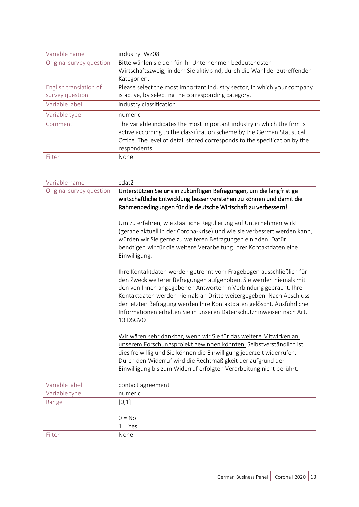| Variable name            | industry_WZ08                                                                                                                                                                                                                                                                                                                                                                                                                                     |  |
|--------------------------|---------------------------------------------------------------------------------------------------------------------------------------------------------------------------------------------------------------------------------------------------------------------------------------------------------------------------------------------------------------------------------------------------------------------------------------------------|--|
| Original survey question | Bitte wählen sie den für Ihr Unternehmen bedeutendsten                                                                                                                                                                                                                                                                                                                                                                                            |  |
|                          | Wirtschaftszweig, in dem Sie aktiv sind, durch die Wahl der zutreffenden                                                                                                                                                                                                                                                                                                                                                                          |  |
|                          | Kategorien.                                                                                                                                                                                                                                                                                                                                                                                                                                       |  |
| English translation of   | Please select the most important industry sector, in which your company                                                                                                                                                                                                                                                                                                                                                                           |  |
| survey question          | is active, by selecting the corresponding category.                                                                                                                                                                                                                                                                                                                                                                                               |  |
| Variable label           | industry classification                                                                                                                                                                                                                                                                                                                                                                                                                           |  |
| Variable type            | numeric                                                                                                                                                                                                                                                                                                                                                                                                                                           |  |
| Comment                  | The variable indicates the most important industry in which the firm is<br>active according to the classification scheme by the German Statistical<br>Office. The level of detail stored corresponds to the specification by the<br>respondents.                                                                                                                                                                                                  |  |
| Filter                   | None                                                                                                                                                                                                                                                                                                                                                                                                                                              |  |
| Variable name            | cdat2                                                                                                                                                                                                                                                                                                                                                                                                                                             |  |
| Original survey question | Unterstützen Sie uns in zukünftigen Befragungen, um die langfristige<br>wirtschaftliche Entwicklung besser verstehen zu können und damit die<br>Rahmenbedingungen für die deutsche Wirtschaft zu verbessern!                                                                                                                                                                                                                                      |  |
|                          | Um zu erfahren, wie staatliche Regulierung auf Unternehmen wirkt<br>(gerade aktuell in der Corona-Krise) und wie sie verbessert werden kann,<br>würden wir Sie gerne zu weiteren Befragungen einladen. Dafür<br>benötigen wir für die weitere Verarbeitung Ihrer Kontaktdaten eine<br>Einwilligung.                                                                                                                                               |  |
|                          | Ihre Kontaktdaten werden getrennt vom Fragebogen ausschließlich für<br>den Zweck weiterer Befragungen aufgehoben. Sie werden niemals mit<br>den von Ihnen angegebenen Antworten in Verbindung gebracht. Ihre<br>Kontaktdaten werden niemals an Dritte weitergegeben. Nach Abschluss<br>der letzten Befragung werden Ihre Kontaktdaten gelöscht. Ausführliche<br>Informationen erhalten Sie in unseren Datenschutzhinweisen nach Art.<br>13 DSGVO. |  |
|                          | Wir wären sehr dankbar, wenn wir Sie für das weitere Mitwirken an<br>unserem Forschungsprojekt gewinnen könnten. Selbstverständlich ist<br>dies freiwillig und Sie können die Einwilligung jederzeit widerrufen.<br>Durch den Widerruf wird die Rechtmäßigkeit der aufgrund der<br>Einwilligung bis zum Widerruf erfolgten Verarbeitung nicht berührt.                                                                                            |  |
| Variable label           | contact agreement                                                                                                                                                                                                                                                                                                                                                                                                                                 |  |
| Variable type            | numeric                                                                                                                                                                                                                                                                                                                                                                                                                                           |  |
| Range                    | [0,1]                                                                                                                                                                                                                                                                                                                                                                                                                                             |  |
|                          |                                                                                                                                                                                                                                                                                                                                                                                                                                                   |  |
|                          | $0 = No$                                                                                                                                                                                                                                                                                                                                                                                                                                          |  |
|                          | $1 = Yes$                                                                                                                                                                                                                                                                                                                                                                                                                                         |  |
| Filter                   | None                                                                                                                                                                                                                                                                                                                                                                                                                                              |  |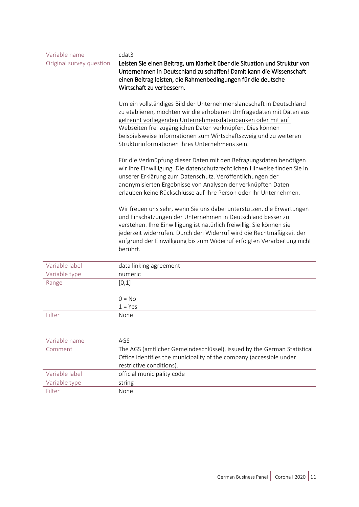| Variable name            | cdat3                                                                                                                                                                                                                                                                                                                                                                                        |  |
|--------------------------|----------------------------------------------------------------------------------------------------------------------------------------------------------------------------------------------------------------------------------------------------------------------------------------------------------------------------------------------------------------------------------------------|--|
| Original survey question | Leisten Sie einen Beitrag, um Klarheit über die Situation und Struktur von                                                                                                                                                                                                                                                                                                                   |  |
|                          | Unternehmen in Deutschland zu schaffen! Damit kann die Wissenschaft                                                                                                                                                                                                                                                                                                                          |  |
|                          | einen Beitrag leisten, die Rahmenbedingungen für die deutsche                                                                                                                                                                                                                                                                                                                                |  |
|                          | Wirtschaft zu verbessern.                                                                                                                                                                                                                                                                                                                                                                    |  |
|                          | Um ein vollständiges Bild der Unternehmenslandschaft in Deutschland<br>zu etablieren, möchten wir die erhobenen Umfragedaten mit Daten aus<br>getrennt vorliegenden Unternehmensdatenbanken oder mit auf<br>Webseiten frei zugänglichen Daten verknüpfen. Dies können<br>beispielsweise Informationen zum Wirtschaftszweig und zu weiteren<br>Strukturinformationen Ihres Unternehmens sein. |  |
|                          | Für die Verknüpfung dieser Daten mit den Befragungsdaten benötigen<br>wir Ihre Einwilligung. Die datenschutzrechtlichen Hinweise finden Sie in<br>unserer Erklärung zum Datenschutz. Veröffentlichungen der<br>anonymisierten Ergebnisse von Analysen der verknüpften Daten<br>erlauben keine Rückschlüsse auf Ihre Person oder Ihr Unternehmen.                                             |  |
|                          | Wir freuen uns sehr, wenn Sie uns dabei unterstützen, die Erwartungen<br>und Einschätzungen der Unternehmen in Deutschland besser zu<br>verstehen. Ihre Einwilligung ist natürlich freiwillig. Sie können sie<br>jederzeit widerrufen. Durch den Widerruf wird die Rechtmäßigkeit der                                                                                                        |  |
|                          | aufgrund der Einwilligung bis zum Widerruf erfolgten Verarbeitung nicht<br>berührt.                                                                                                                                                                                                                                                                                                          |  |
| Variable label           | data linking agreement                                                                                                                                                                                                                                                                                                                                                                       |  |
| Variable type            | numeric                                                                                                                                                                                                                                                                                                                                                                                      |  |
| Range                    | [0,1]<br>$0 = No$                                                                                                                                                                                                                                                                                                                                                                            |  |
|                          | $1 = Yes$                                                                                                                                                                                                                                                                                                                                                                                    |  |
| Filter                   | None                                                                                                                                                                                                                                                                                                                                                                                         |  |
| Variable name            | AGS                                                                                                                                                                                                                                                                                                                                                                                          |  |
| Comment                  | The AGS (amtlicher Gemeindeschlüssel), issued by the German Statistical                                                                                                                                                                                                                                                                                                                      |  |
|                          | Office identifies the municipality of the company (accessible under                                                                                                                                                                                                                                                                                                                          |  |
|                          | restrictive conditions).                                                                                                                                                                                                                                                                                                                                                                     |  |
| Variable label           | official municipality code                                                                                                                                                                                                                                                                                                                                                                   |  |
| Variable type            | string                                                                                                                                                                                                                                                                                                                                                                                       |  |
| Filter                   | None                                                                                                                                                                                                                                                                                                                                                                                         |  |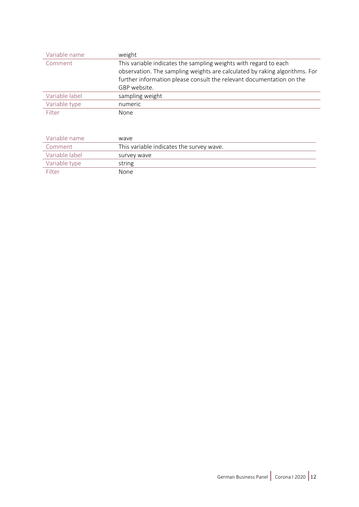| Variable name  | weight                                                                     |
|----------------|----------------------------------------------------------------------------|
| Comment        | This variable indicates the sampling weights with regard to each           |
|                | observation. The sampling weights are calculated by raking algorithms. For |
|                | further information please consult the relevant documentation on the       |
|                | GBP website.                                                               |
| Variable label | sampling weight                                                            |
| Variable type  | numeric                                                                    |
| Filter         | None                                                                       |

| Variable name  | wave                                     |
|----------------|------------------------------------------|
| Comment        | This variable indicates the survey wave. |
| Variable label | survey wave                              |
| Variable type  | string                                   |
| Filter         | None                                     |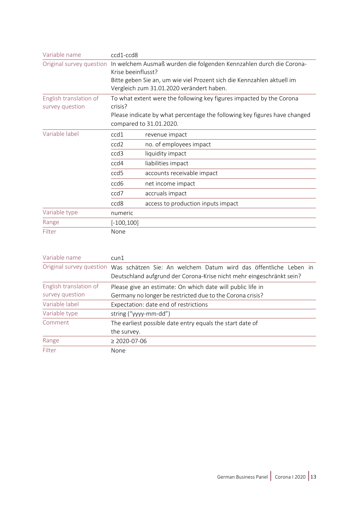| Variable name                             | ccd1-ccd8          |                                                                                                                     |
|-------------------------------------------|--------------------|---------------------------------------------------------------------------------------------------------------------|
|                                           |                    | Original survey question In welchem Ausmaß wurden die folgenden Kennzahlen durch die Corona-                        |
|                                           | Krise beeinflusst? |                                                                                                                     |
|                                           |                    | Bitte geben Sie an, um wie viel Prozent sich die Kennzahlen aktuell im<br>Vergleich zum 31.01.2020 verändert haben. |
| English translation of<br>survey question | crisis?            | To what extent were the following key figures impacted by the Corona                                                |
|                                           |                    | Please indicate by what percentage the following key figures have changed<br>compared to 31.01.2020.                |
| Variable label                            | ccd1               | revenue impact                                                                                                      |
|                                           | ccd2               | no. of employees impact                                                                                             |
|                                           | ccd3               | liquidity impact                                                                                                    |
|                                           | ccd4               | liabilities impact                                                                                                  |
|                                           | ccd5               | accounts receivable impact                                                                                          |
|                                           | ccd6               | net income impact                                                                                                   |
|                                           | ccd7               | accruals impact                                                                                                     |
|                                           | ccd8               | access to production inputs impact                                                                                  |
| Variable type                             | numeric            |                                                                                                                     |
| Range                                     | $[-100, 100]$      |                                                                                                                     |
| Filter                                    | None               |                                                                                                                     |

| Variable name          | $c$ un $1$                                                                                                                                                        |  |
|------------------------|-------------------------------------------------------------------------------------------------------------------------------------------------------------------|--|
|                        | Original survey question Was schätzen Sie: An welchem Datum wird das öffentliche Leben in<br>Deutschland aufgrund der Corona-Krise nicht mehr eingeschränkt sein? |  |
|                        |                                                                                                                                                                   |  |
| English translation of | Please give an estimate: On which date will public life in                                                                                                        |  |
| survey question        | Germany no longer be restricted due to the Corona crisis?                                                                                                         |  |
| Variable label         | Expectation: date end of restrictions                                                                                                                             |  |
| Variable type          | string ("yyyy-mm-dd")                                                                                                                                             |  |
| Comment                | The earliest possible date entry equals the start date of                                                                                                         |  |
|                        | the survey.                                                                                                                                                       |  |
| Range                  | $\geq$ 2020-07-06                                                                                                                                                 |  |
| Filter                 | None                                                                                                                                                              |  |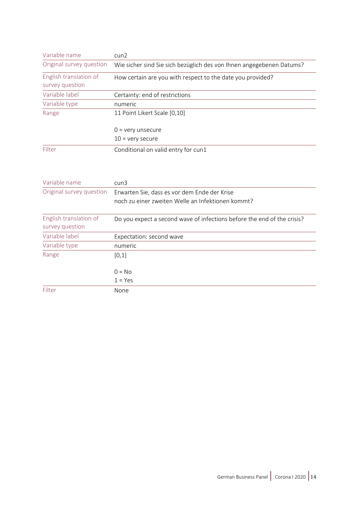| Variable name                             | $c$ un $2$                                                           |
|-------------------------------------------|----------------------------------------------------------------------|
| Original survey question                  | Wie sicher sind Sie sich bezüglich des von Ihnen angegebenen Datums? |
| English translation of<br>survey question | How certain are you with respect to the date you provided?           |
| Variable label                            | Certainty: end of restrictions                                       |
| Variable type                             | numeric                                                              |
| Range                                     | 11 Point Likert Scale [0,10]                                         |
|                                           | $0 = \text{very}$ unsecure                                           |
|                                           | $10 =$ very secure                                                   |
| Filter                                    | Conditional on valid entry for cun1                                  |

| Variable name                             | cun3                                                                                              |
|-------------------------------------------|---------------------------------------------------------------------------------------------------|
| Original survey question                  | Erwarten Sie, dass es vor dem Ende der Krise<br>noch zu einer zweiten Welle an Infektionen kommt? |
| English translation of<br>survey question | Do you expect a second wave of infections before the end of the crisis?                           |
| Variable label                            | Expectation: second wave                                                                          |
| Variable type                             | numeric                                                                                           |
| Range                                     | [0,1]                                                                                             |
|                                           | $0 = No$                                                                                          |
|                                           | $1 = Yes$                                                                                         |
| Filter                                    | None                                                                                              |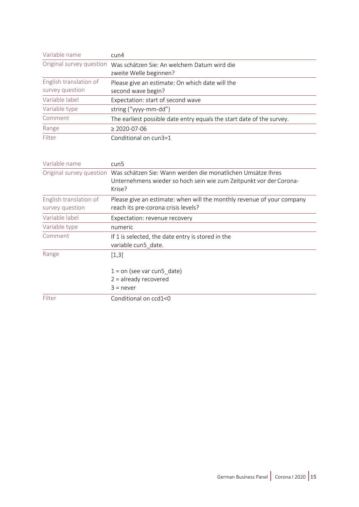| Variable name                             | $c$ un $4$                                                            |
|-------------------------------------------|-----------------------------------------------------------------------|
| Original survey question                  | Was schätzen Sie: An welchem Datum wird die<br>zweite Welle beginnen? |
| English translation of<br>survey question | Please give an estimate: On which date will the<br>second wave begin? |
| Variable label                            | Expectation: start of second wave                                     |
| Variable type                             | string ("yyyy-mm-dd")                                                 |
| Comment                                   | The earliest possible date entry equals the start date of the survey. |
| Range                                     | $\geq$ 2020-07-06                                                     |
| Filter                                    | Conditional on cun3=1                                                 |

| Variable name                             | cun5                                                                                                                                                                 |
|-------------------------------------------|----------------------------------------------------------------------------------------------------------------------------------------------------------------------|
|                                           | Original survey question Was schätzen Sie: Wann werden die monatlichen Umsätze Ihres<br>Unternehmens wieder so hoch sein wie zum Zeitpunkt vor der Corona-<br>Krise? |
| English translation of<br>survey question | Please give an estimate: when will the monthly revenue of your company<br>reach its pre-corona crisis levels?                                                        |
| Variable label                            | Expectation: revenue recovery                                                                                                                                        |
| Variable type                             | numeric                                                                                                                                                              |
| Comment                                   | If 1 is selected, the date entry is stored in the<br>variable cun5 date.                                                                                             |
| Range                                     | $[1,3]$                                                                                                                                                              |
|                                           | $1 =$ on (see var cun5 date)<br>$2 =$ already recovered<br>$3$ = never                                                                                               |
| Filter                                    | Conditional on ccd1<0                                                                                                                                                |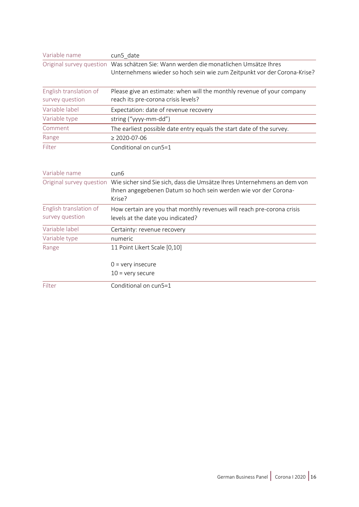| Variable name                             | cun5 date                                                                                                                                                        |  |
|-------------------------------------------|------------------------------------------------------------------------------------------------------------------------------------------------------------------|--|
|                                           | Original survey question Was schätzen Sie: Wann werden die monatlichen Umsätze Ihres<br>Unternehmens wieder so hoch sein wie zum Zeitpunkt vor der Corona-Krise? |  |
| English translation of<br>survey question | Please give an estimate: when will the monthly revenue of your company<br>reach its pre-corona crisis levels?                                                    |  |

| Variable label | Expectation: date of revenue recovery                                 |
|----------------|-----------------------------------------------------------------------|
| Variable type  | string ("yyyy-mm-dd")                                                 |
| Comment        | The earliest possible date entry equals the start date of the survey. |
| Range          | $\geq$ 2020-07-06                                                     |
| Filter         | Conditional on cun5=1                                                 |

| Variable name          | cun <sub>6</sub>                                                                                                                                                               |
|------------------------|--------------------------------------------------------------------------------------------------------------------------------------------------------------------------------|
|                        | Original survey question Wie sicher sind Sie sich, dass die Umsätze Ihres Unternehmens an dem von<br>Ihnen angegebenen Datum so hoch sein werden wie vor der Corona-<br>Krise? |
| English translation of | How certain are you that monthly revenues will reach pre-corona crisis                                                                                                         |
| survey question        | levels at the date you indicated?                                                                                                                                              |
| Variable label         | Certainty: revenue recovery                                                                                                                                                    |
| Variable type          | numeric                                                                                                                                                                        |
| Range                  | 11 Point Likert Scale [0,10]                                                                                                                                                   |
|                        | $0 = \text{very insecure}$                                                                                                                                                     |
|                        | $10 =$ very secure                                                                                                                                                             |
| Filter                 | Conditional on cun5=1                                                                                                                                                          |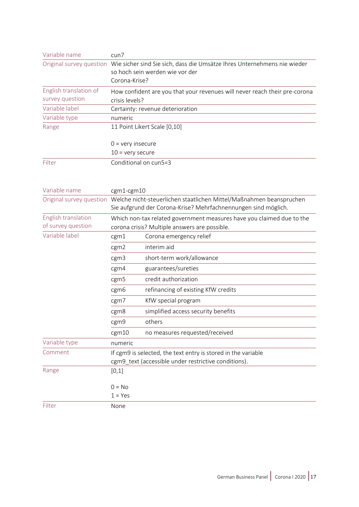| Original survey question Wie sicher sind Sie sich, dass die Umsätze Ihres Unternehmens nie wieder |
|---------------------------------------------------------------------------------------------------|
| so hoch sein werden wie vor der                                                                   |
|                                                                                                   |
| How confident are you that your revenues will never reach their pre-corona                        |
|                                                                                                   |
| Certainty: revenue deterioration                                                                  |
|                                                                                                   |
|                                                                                                   |
|                                                                                                   |
|                                                                                                   |
|                                                                                                   |
|                                                                                                   |
|                                                                                                   |
|                                                                                                   |
|                                                                                                   |

| Variable name                             | cgm1-cgm10                                                                                                                            |                                                               |  |
|-------------------------------------------|---------------------------------------------------------------------------------------------------------------------------------------|---------------------------------------------------------------|--|
| Original survey question                  | Welche nicht-steuerlichen staatlichen Mittel/Maßnahmen beanspruchen<br>Sie aufgrund der Corona-Krise? Mehrfachnennungen sind möglich. |                                                               |  |
| English translation<br>of survey question | Which non-tax related government measures have you claimed due to the<br>corona crisis? Multiple answers are possible.                |                                                               |  |
| Variable label                            | cgm1                                                                                                                                  | Corona emergency relief                                       |  |
|                                           | cgm2                                                                                                                                  | interim aid                                                   |  |
|                                           | cgm3                                                                                                                                  | short-term work/allowance                                     |  |
|                                           | cgm4                                                                                                                                  | guarantees/sureties                                           |  |
|                                           | cgm5                                                                                                                                  | credit authorization                                          |  |
|                                           | cgm <sub>6</sub>                                                                                                                      | refinancing of existing KfW credits                           |  |
|                                           | cgm7                                                                                                                                  | KfW special program                                           |  |
|                                           | cgm8                                                                                                                                  | simplified access security benefits                           |  |
|                                           | cgm9                                                                                                                                  | others                                                        |  |
|                                           | cgm10                                                                                                                                 | no measures requested/received                                |  |
| Variable type                             | numeric                                                                                                                               |                                                               |  |
| Comment                                   |                                                                                                                                       | If cgm9 is selected, the text entry is stored in the variable |  |
|                                           |                                                                                                                                       | cgm9_text (accessible under restrictive conditions).          |  |
| Range                                     | [0,1]                                                                                                                                 |                                                               |  |
|                                           | $0 = No$                                                                                                                              |                                                               |  |
|                                           | $1 = Yes$                                                                                                                             |                                                               |  |
| Filter                                    | None                                                                                                                                  |                                                               |  |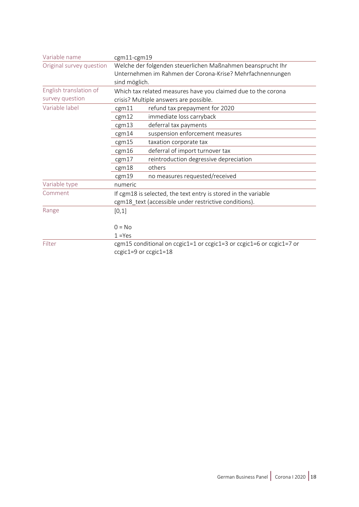| Variable name            | cgm11-cgm19                                                   |                                                                      |  |
|--------------------------|---------------------------------------------------------------|----------------------------------------------------------------------|--|
| Original survey question |                                                               | Welche der folgenden steuerlichen Maßnahmen beansprucht Ihr          |  |
|                          |                                                               | Unternehmen im Rahmen der Corona-Krise? Mehrfachnennungen            |  |
|                          | sind möglich.                                                 |                                                                      |  |
| English translation of   | Which tax related measures have you claimed due to the corona |                                                                      |  |
| survey question          |                                                               | crisis? Multiple answers are possible.                               |  |
| Variable label           | cgm11                                                         | refund tax prepayment for 2020                                       |  |
|                          | cgm12                                                         | immediate loss carryback                                             |  |
|                          | cgm13                                                         | deferral tax payments                                                |  |
|                          | cgm14                                                         | suspension enforcement measures                                      |  |
|                          | cgm15                                                         | taxation corporate tax                                               |  |
|                          | cgm16                                                         | deferral of import turnover tax                                      |  |
|                          | cgm17                                                         | reintroduction degressive depreciation                               |  |
|                          | cgm18                                                         | others                                                               |  |
|                          | cgm19                                                         | no measures requested/received                                       |  |
| Variable type            | numeric                                                       |                                                                      |  |
| Comment                  |                                                               | If cgm18 is selected, the text entry is stored in the variable       |  |
|                          |                                                               | cgm18_text (accessible under restrictive conditions).                |  |
| Range                    | [0,1]                                                         |                                                                      |  |
|                          |                                                               |                                                                      |  |
|                          | $0 = No$                                                      |                                                                      |  |
|                          | $1 = Yes$                                                     |                                                                      |  |
| Filter                   |                                                               | cgm15 conditional on ccgic1=1 or ccgic1=3 or ccgic1=6 or ccgic1=7 or |  |
|                          |                                                               | ccgic1=9 or ccgic1=18                                                |  |
|                          |                                                               |                                                                      |  |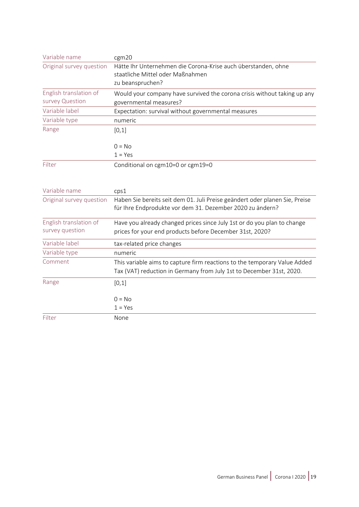| Variable name            | cgm20                                                                                                                                    |
|--------------------------|------------------------------------------------------------------------------------------------------------------------------------------|
| Original survey question | Hätte Ihr Unternehmen die Corona-Krise auch überstanden, ohne                                                                            |
|                          | staatliche Mittel oder Maßnahmen                                                                                                         |
|                          | zu beanspruchen?                                                                                                                         |
| English translation of   | Would your company have survived the corona crisis without taking up any                                                                 |
| survey Question          | governmental measures?                                                                                                                   |
| Variable label           | Expectation: survival without governmental measures                                                                                      |
| Variable type            | numeric                                                                                                                                  |
| Range                    | [0,1]                                                                                                                                    |
|                          | $0 = No$                                                                                                                                 |
|                          | $1 = Yes$                                                                                                                                |
| Filter                   | Conditional on cgm10=0 or cgm19=0                                                                                                        |
|                          |                                                                                                                                          |
| Variable name            | cps1                                                                                                                                     |
| Original survey question | Haben Sie bereits seit dem 01. Juli Preise geändert oder planen Sie, Preise<br>für Ihre Endprodukte vor dem 31. Dezember 2020 zu ändern? |
| English translation of   | Have you already changed prices since July 1st or do you plan to change                                                                  |
| survey question          | prices for your end products before December 31st, 2020?                                                                                 |
| Variable label           | tax-related price changes                                                                                                                |
| Variable type            | numeric                                                                                                                                  |
| Comment                  | This variable aims to capture firm reactions to the temporary Value Added                                                                |
|                          | Tax (VAT) reduction in Germany from July 1st to December 31st, 2020.                                                                     |
| Range                    | [0,1]                                                                                                                                    |
|                          | $0 = No$                                                                                                                                 |
|                          | $1 = Yes$                                                                                                                                |
| Filter                   | None                                                                                                                                     |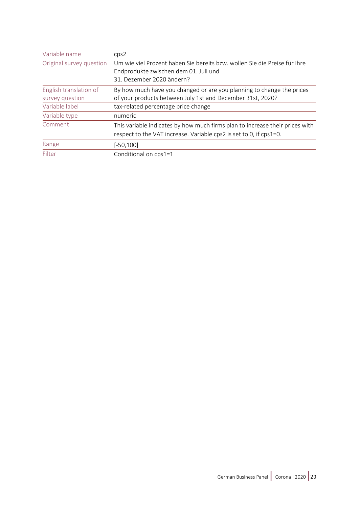| Variable name                             | cps2                                                                                                                                               |
|-------------------------------------------|----------------------------------------------------------------------------------------------------------------------------------------------------|
| Original survey question                  | Um wie viel Prozent haben Sie bereits bzw. wollen Sie die Preise für Ihre<br>Endprodukte zwischen dem 01. Juli und<br>31. Dezember 2020 ändern?    |
|                                           |                                                                                                                                                    |
| English translation of<br>survey question | By how much have you changed or are you planning to change the prices<br>of your products between July 1st and December 31st, 2020?                |
| Variable label                            | tax-related percentage price change                                                                                                                |
| Variable type                             | numeric                                                                                                                                            |
| Comment                                   | This variable indicates by how much firms plan to increase their prices with<br>respect to the VAT increase. Variable cps2 is set to 0, if cps1=0. |
| Range                                     | $[-50, 100]$                                                                                                                                       |
| Filter                                    | Conditional on cps1=1                                                                                                                              |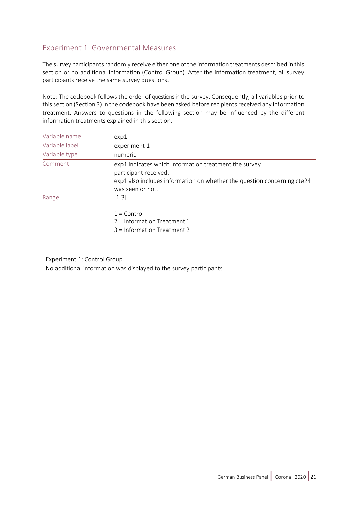## Experiment 1: Governmental Measures

The survey participants randomly receive either one of the information treatments described in this section or no additional information (Control Group). After the information treatment, all survey participants receive the same survey questions.

Note: The codebook follows the order of questions in the survey. Consequently, all variables prior to this section (Section 3) in the codebook have been asked before recipients received any information treatment. Answers to questions in the following section may be influenced by the different information treatments explained in this section.

| Variable name  | exp1                                                                                                                                                                          |
|----------------|-------------------------------------------------------------------------------------------------------------------------------------------------------------------------------|
| Variable label | experiment 1                                                                                                                                                                  |
| Variable type  | numeric                                                                                                                                                                       |
| Comment        | exp1 indicates which information treatment the survey<br>participant received.<br>exp1 also includes information on whether the question concerning cte24<br>was seen or not. |
| Range          | [1,3]<br>$1 =$ Control<br>$2 =$ Information Treatment 1<br>3 = Information Treatment 2                                                                                        |

Experiment 1: Control Group

No additional information was displayed to the survey participants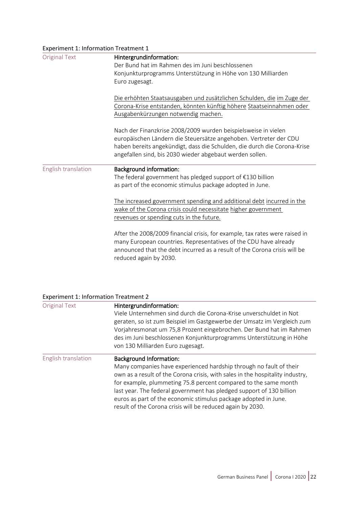| Experiment 1: Information Treatment 1 |                                                                                                                                                                                                                                                        |  |
|---------------------------------------|--------------------------------------------------------------------------------------------------------------------------------------------------------------------------------------------------------------------------------------------------------|--|
| <b>Original Text</b>                  | Hintergrundinformation:                                                                                                                                                                                                                                |  |
|                                       | Der Bund hat im Rahmen des im Juni beschlossenen                                                                                                                                                                                                       |  |
|                                       | Konjunkturprogramms Unterstützung in Höhe von 130 Milliarden                                                                                                                                                                                           |  |
|                                       | Euro zugesagt.                                                                                                                                                                                                                                         |  |
|                                       | Die erhöhten Staatsausgaben und zusätzlichen Schulden, die im Zuge der                                                                                                                                                                                 |  |
|                                       | Corona-Krise entstanden, könnten künftig höhere Staatseinnahmen oder                                                                                                                                                                                   |  |
|                                       | Ausgabenkürzungen notwendig machen.                                                                                                                                                                                                                    |  |
|                                       | Nach der Finanzkrise 2008/2009 wurden beispielsweise in vielen                                                                                                                                                                                         |  |
|                                       | europäischen Ländern die Steuersätze angehoben. Vertreter der CDU                                                                                                                                                                                      |  |
|                                       | haben bereits angekündigt, dass die Schulden, die durch die Corona-Krise                                                                                                                                                                               |  |
|                                       | angefallen sind, bis 2030 wieder abgebaut werden sollen.                                                                                                                                                                                               |  |
| English translation                   | <b>Background information:</b>                                                                                                                                                                                                                         |  |
|                                       | The federal government has pledged support of $£130$ billion                                                                                                                                                                                           |  |
|                                       | as part of the economic stimulus package adopted in June.                                                                                                                                                                                              |  |
|                                       | The increased government spending and additional debt incurred in the<br>wake of the Corona crisis could necessitate higher government<br>revenues or spending cuts in the future.                                                                     |  |
|                                       | After the 2008/2009 financial crisis, for example, tax rates were raised in<br>many European countries. Representatives of the CDU have already<br>announced that the debt incurred as a result of the Corona crisis will be<br>reduced again by 2030. |  |

| <b>Original Text</b> | Hintergrundinformation:<br>Viele Unternehmen sind durch die Corona-Krise unverschuldet in Not<br>geraten, so ist zum Beispiel im Gastgewerbe der Umsatz im Vergleich zum<br>Vorjahresmonat um 75,8 Prozent eingebrochen. Der Bund hat im Rahmen<br>des im Juni beschlossenen Konjunkturprogramms Unterstützung in Höhe<br>von 130 Milliarden Euro zugesagt.                                                                                                       |
|----------------------|-------------------------------------------------------------------------------------------------------------------------------------------------------------------------------------------------------------------------------------------------------------------------------------------------------------------------------------------------------------------------------------------------------------------------------------------------------------------|
| English translation  | <b>Background Information:</b><br>Many companies have experienced hardship through no fault of their<br>own as a result of the Corona crisis, with sales in the hospitality industry,<br>for example, plummeting 75.8 percent compared to the same month<br>last year. The federal government has pledged support of 130 billion<br>euros as part of the economic stimulus package adopted in June.<br>result of the Corona crisis will be reduced again by 2030. |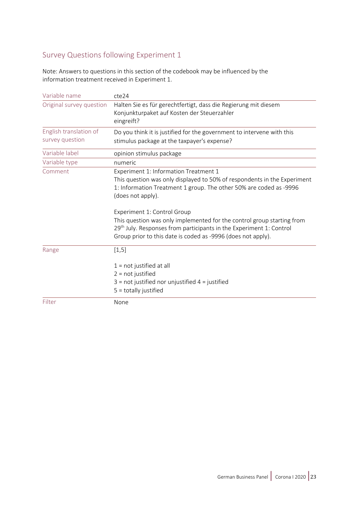## Survey Questions following Experiment 1

Note: Answers to questions in this section of the codebook may be influenced by the information treatment received in Experiment 1.

| Variable name                             | cte24                                                                                                                                                                                                                                          |  |  |  |
|-------------------------------------------|------------------------------------------------------------------------------------------------------------------------------------------------------------------------------------------------------------------------------------------------|--|--|--|
| Original survey question                  | Halten Sie es für gerechtfertigt, dass die Regierung mit diesem<br>Konjunkturpaket auf Kosten der Steuerzahler<br>eingreift?                                                                                                                   |  |  |  |
| English translation of<br>survey question | Do you think it is justified for the government to intervene with this<br>stimulus package at the taxpayer's expense?                                                                                                                          |  |  |  |
| Variable label                            | opinion stimulus package                                                                                                                                                                                                                       |  |  |  |
| Variable type                             | numeric                                                                                                                                                                                                                                        |  |  |  |
| Comment                                   | Experiment 1: Information Treatment 1<br>This question was only displayed to 50% of respondents in the Experiment<br>1: Information Treatment 1 group. The other 50% are coded as -9996<br>(does not apply).                                   |  |  |  |
|                                           | Experiment 1: Control Group<br>This question was only implemented for the control group starting from<br>$29th$ July. Responses from participants in the Experiment 1: Control<br>Group prior to this date is coded as -9996 (does not apply). |  |  |  |
| Range                                     | [1, 5]<br>$1 = not justified at all$<br>$2 = not justified$<br>$3$ = not justified nor unjustified $4$ = justified<br>$5 =$ totally justified                                                                                                  |  |  |  |
| Filter                                    | None                                                                                                                                                                                                                                           |  |  |  |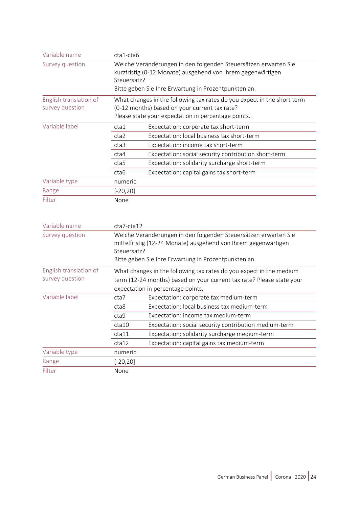| Welche Veränderungen in den folgenden Steuersätzen erwarten Sie                                                                                                                                                                                                                                                                                                                                                                               |  |  |
|-----------------------------------------------------------------------------------------------------------------------------------------------------------------------------------------------------------------------------------------------------------------------------------------------------------------------------------------------------------------------------------------------------------------------------------------------|--|--|
|                                                                                                                                                                                                                                                                                                                                                                                                                                               |  |  |
|                                                                                                                                                                                                                                                                                                                                                                                                                                               |  |  |
|                                                                                                                                                                                                                                                                                                                                                                                                                                               |  |  |
| What changes in the following tax rates do you expect in the short term                                                                                                                                                                                                                                                                                                                                                                       |  |  |
| (0-12 months) based on your current tax rate?                                                                                                                                                                                                                                                                                                                                                                                                 |  |  |
|                                                                                                                                                                                                                                                                                                                                                                                                                                               |  |  |
|                                                                                                                                                                                                                                                                                                                                                                                                                                               |  |  |
|                                                                                                                                                                                                                                                                                                                                                                                                                                               |  |  |
|                                                                                                                                                                                                                                                                                                                                                                                                                                               |  |  |
|                                                                                                                                                                                                                                                                                                                                                                                                                                               |  |  |
|                                                                                                                                                                                                                                                                                                                                                                                                                                               |  |  |
|                                                                                                                                                                                                                                                                                                                                                                                                                                               |  |  |
|                                                                                                                                                                                                                                                                                                                                                                                                                                               |  |  |
|                                                                                                                                                                                                                                                                                                                                                                                                                                               |  |  |
|                                                                                                                                                                                                                                                                                                                                                                                                                                               |  |  |
|                                                                                                                                                                                                                                                                                                                                                                                                                                               |  |  |
|                                                                                                                                                                                                                                                                                                                                                                                                                                               |  |  |
|                                                                                                                                                                                                                                                                                                                                                                                                                                               |  |  |
| Welche Veränderungen in den folgenden Steuersätzen erwarten Sie                                                                                                                                                                                                                                                                                                                                                                               |  |  |
|                                                                                                                                                                                                                                                                                                                                                                                                                                               |  |  |
|                                                                                                                                                                                                                                                                                                                                                                                                                                               |  |  |
| What changes in the following tax rates do you expect in the medium                                                                                                                                                                                                                                                                                                                                                                           |  |  |
| term (12-24 months) based on your current tax rate? Please state your                                                                                                                                                                                                                                                                                                                                                                         |  |  |
|                                                                                                                                                                                                                                                                                                                                                                                                                                               |  |  |
|                                                                                                                                                                                                                                                                                                                                                                                                                                               |  |  |
|                                                                                                                                                                                                                                                                                                                                                                                                                                               |  |  |
| Expectation: social security contribution medium-term                                                                                                                                                                                                                                                                                                                                                                                         |  |  |
|                                                                                                                                                                                                                                                                                                                                                                                                                                               |  |  |
|                                                                                                                                                                                                                                                                                                                                                                                                                                               |  |  |
|                                                                                                                                                                                                                                                                                                                                                                                                                                               |  |  |
|                                                                                                                                                                                                                                                                                                                                                                                                                                               |  |  |
| Bitte geben Sie Ihre Erwartung in Prozentpunkten an.<br>Please state your expectation in percentage points.<br>cta1<br>Expectation: corporate tax short-term<br>Expectation: local business tax short-term<br>cta2<br>Expectation: income tax short-term<br>cta3<br>Expectation: social security contribution short-term<br>cta4<br>Expectation: solidarity surcharge short-term<br>cta5<br>Expectation: capital gains tax short-term<br>cta6 |  |  |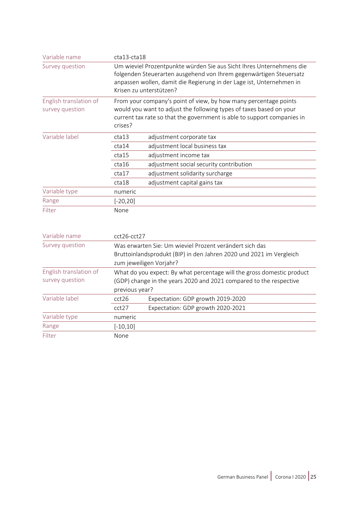| Variable name                             | $cta13-cta18$                                                                                                                                                                                                                                 |  |  |
|-------------------------------------------|-----------------------------------------------------------------------------------------------------------------------------------------------------------------------------------------------------------------------------------------------|--|--|
| Survey question                           | Um wieviel Prozentpunkte würden Sie aus Sicht Ihres Unternehmens die<br>folgenden Steuerarten ausgehend von Ihrem gegenwärtigen Steuersatz<br>anpassen wollen, damit die Regierung in der Lage ist, Unternehmen in<br>Krisen zu unterstützen? |  |  |
| English translation of<br>survey question | From your company's point of view, by how many percentage points<br>would you want to adjust the following types of taxes based on your<br>current tax rate so that the government is able to support companies in<br>crises?                 |  |  |
| Variable label                            | cta13<br>adjustment corporate tax                                                                                                                                                                                                             |  |  |
|                                           | adjustment local business tax<br>cta14                                                                                                                                                                                                        |  |  |
|                                           | adjustment income tax<br>cta15                                                                                                                                                                                                                |  |  |
|                                           | adjustment social security contribution<br>cta16                                                                                                                                                                                              |  |  |
|                                           | adjustment solidarity surcharge<br>cta17                                                                                                                                                                                                      |  |  |
|                                           | cta18<br>adjustment capital gains tax                                                                                                                                                                                                         |  |  |
| Variable type                             | numeric                                                                                                                                                                                                                                       |  |  |
| Range                                     | $[-20, 20]$                                                                                                                                                                                                                                   |  |  |
| Filter                                    | None                                                                                                                                                                                                                                          |  |  |
| Variable name                             | cct26-cct27                                                                                                                                                                                                                                   |  |  |
| Survey question                           | Was erwarten Sie: Um wieviel Prozent verändert sich das<br>Bruttoinlandsprodukt (BIP) in den Jahren 2020 und 2021 im Vergleich<br>zum jeweiligen Vorjahr?                                                                                     |  |  |
| English translation of                    | What do you expect: By what percentage will the gross domestic product                                                                                                                                                                        |  |  |
| survey question                           | (GDP) change in the years 2020 and 2021 compared to the respective<br>previous year?                                                                                                                                                          |  |  |

cct27 Expectation: GDP growth 2020-2021

Variable label cct26 Expectation: GDP growth 2019-2020

Variable type numeric Range [-10,10] Filter None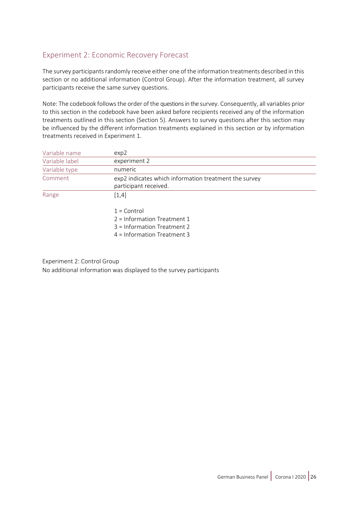## Experiment 2: Economic Recovery Forecast

The survey participants randomly receive either one of the information treatments described in this section or no additional information (Control Group). After the information treatment, all survey participants receive the same survey questions.

Note: The codebook followsthe order of the questions in the survey. Consequently, all variables prior to this section in the codebook have been asked before recipients received any of the information treatments outlined in this section (Section 5). Answers to survey questions after this section may be influenced by the different information treatments explained in this section or by information treatments received in Experiment 1.

| Variable name  | exp2                                                                           |  |  |  |
|----------------|--------------------------------------------------------------------------------|--|--|--|
| Variable label | experiment 2                                                                   |  |  |  |
| Variable type  | numeric                                                                        |  |  |  |
| Comment        | exp2 indicates which information treatment the survey<br>participant received. |  |  |  |
| Range          | [1,4]                                                                          |  |  |  |
|                | $1 =$ Control                                                                  |  |  |  |
|                | $2 =$ Information Treatment 1                                                  |  |  |  |
|                | 3 = Information Treatment 2                                                    |  |  |  |
|                | $4 =$ Information Treatment 3                                                  |  |  |  |

Experiment 2: Control Group

No additional information was displayed to the survey participants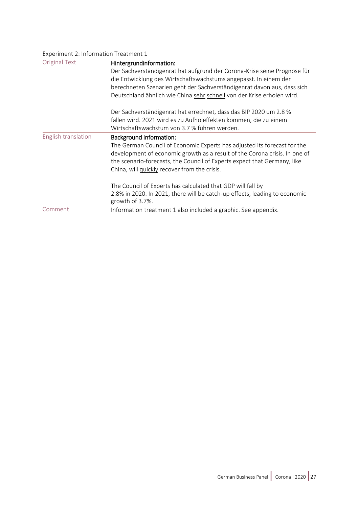| Experiment 2: Information Treatment 1 |                                                                                                                                                                                                                                                                                                                              |  |  |
|---------------------------------------|------------------------------------------------------------------------------------------------------------------------------------------------------------------------------------------------------------------------------------------------------------------------------------------------------------------------------|--|--|
| <b>Original Text</b>                  | Hintergrundinformation:<br>Der Sachverständigenrat hat aufgrund der Corona-Krise seine Prognose für<br>die Entwicklung des Wirtschaftswachstums angepasst. In einem der<br>berechneten Szenarien geht der Sachverständigenrat davon aus, dass sich<br>Deutschland ähnlich wie China sehr schnell von der Krise erholen wird. |  |  |
|                                       | Der Sachverständigenrat hat errechnet, dass das BIP 2020 um 2.8 %<br>fallen wird. 2021 wird es zu Aufholeffekten kommen, die zu einem<br>Wirtschaftswachstum von 3.7 % führen werden.                                                                                                                                        |  |  |
| English translation                   | <b>Background information:</b><br>The German Council of Economic Experts has adjusted its forecast for the<br>development of economic growth as a result of the Corona crisis. In one of<br>the scenario-forecasts, the Council of Experts expect that Germany, like<br>China, will quickly recover from the crisis.         |  |  |
|                                       | The Council of Experts has calculated that GDP will fall by<br>2.8% in 2020. In 2021, there will be catch-up effects, leading to economic<br>growth of 3.7%.                                                                                                                                                                 |  |  |
| Comment                               | Information treatment 1 also included a graphic. See appendix.                                                                                                                                                                                                                                                               |  |  |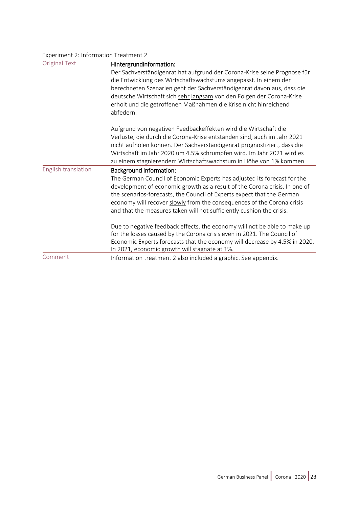| Experiment 2: Information Treatment 2 |                                                                                                     |  |  |  |
|---------------------------------------|-----------------------------------------------------------------------------------------------------|--|--|--|
| <b>Original Text</b>                  | Hintergrundinformation:<br>Der Sachverständigenrat hat aufgrund der Corona-Krise seine Prognose für |  |  |  |
|                                       |                                                                                                     |  |  |  |
|                                       | die Entwicklung des Wirtschaftswachstums angepasst. In einem der                                    |  |  |  |
|                                       | berechneten Szenarien geht der Sachverständigenrat davon aus, dass die                              |  |  |  |
|                                       | deutsche Wirtschaft sich sehr langsam von den Folgen der Corona-Krise                               |  |  |  |
|                                       | erholt und die getroffenen Maßnahmen die Krise nicht hinreichend                                    |  |  |  |
|                                       | abfedern.                                                                                           |  |  |  |
|                                       | Aufgrund von negativen Feedbackeffekten wird die Wirtschaft die                                     |  |  |  |
|                                       | Verluste, die durch die Corona-Krise entstanden sind, auch im Jahr 2021                             |  |  |  |
|                                       | nicht aufholen können. Der Sachverständigenrat prognostiziert, dass die                             |  |  |  |
|                                       | Wirtschaft im Jahr 2020 um 4.5% schrumpfen wird. Im Jahr 2021 wird es                               |  |  |  |
|                                       | zu einem stagnierendem Wirtschaftswachstum in Höhe von 1% kommen                                    |  |  |  |
| English translation                   | <b>Background information:</b>                                                                      |  |  |  |
|                                       | The German Council of Economic Experts has adjusted its forecast for the                            |  |  |  |
|                                       | development of economic growth as a result of the Corona crisis. In one of                          |  |  |  |
|                                       | the scenarios-forecasts, the Council of Experts expect that the German                              |  |  |  |
|                                       | economy will recover slowly from the consequences of the Corona crisis                              |  |  |  |
|                                       | and that the measures taken will not sufficiently cushion the crisis.                               |  |  |  |
|                                       | Due to negative feedback effects, the economy will not be able to make up                           |  |  |  |
|                                       | for the losses caused by the Corona crisis even in 2021. The Council of                             |  |  |  |
|                                       | Economic Experts forecasts that the economy will decrease by 4.5% in 2020.                          |  |  |  |
|                                       | In 2021, economic growth will stagnate at 1%.                                                       |  |  |  |
| Comment                               | Information treatment 2 also included a graphic. See appendix.                                      |  |  |  |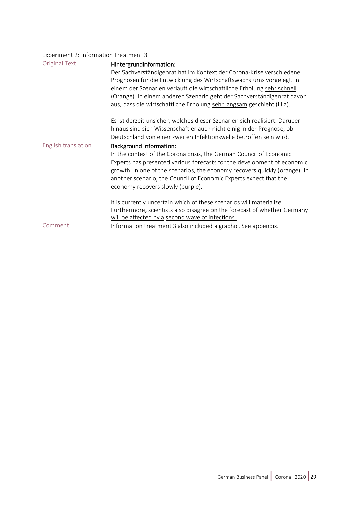| Experiment 2: Information Treatment 3 |                                                                                                                                                                                                                                                                                                                                                                                                      |  |
|---------------------------------------|------------------------------------------------------------------------------------------------------------------------------------------------------------------------------------------------------------------------------------------------------------------------------------------------------------------------------------------------------------------------------------------------------|--|
| <b>Original Text</b>                  | Hintergrundinformation:<br>Der Sachverständigenrat hat im Kontext der Corona-Krise verschiedene<br>Prognosen für die Entwicklung des Wirtschaftswachstums vorgelegt. In<br>einem der Szenarien verläuft die wirtschaftliche Erholung sehr schnell<br>(Orange). In einem anderen Szenario geht der Sachverständigenrat davon<br>aus, dass die wirtschaftliche Erholung sehr langsam geschieht (Lila). |  |
|                                       | Es ist derzeit unsicher, welches dieser Szenarien sich realisiert. Darüber<br>hinaus sind sich Wissenschaftler auch nicht einig in der Prognose, ob<br>Deutschland von einer zweiten Infektionswelle betroffen sein wird.                                                                                                                                                                            |  |
| English translation                   | <b>Background information:</b><br>In the context of the Corona crisis, the German Council of Economic<br>Experts has presented various forecasts for the development of economic<br>growth. In one of the scenarios, the economy recovers quickly (orange). In<br>another scenario, the Council of Economic Experts expect that the<br>economy recovers slowly (purple).                             |  |
| Comment                               | It is currently uncertain which of these scenarios will materialize.<br>Furthermore, scientists also disagree on the forecast of whether Germany<br>will be affected by a second wave of infections.<br>Information treatment 3 also included a graphic. See appendix.                                                                                                                               |  |
|                                       |                                                                                                                                                                                                                                                                                                                                                                                                      |  |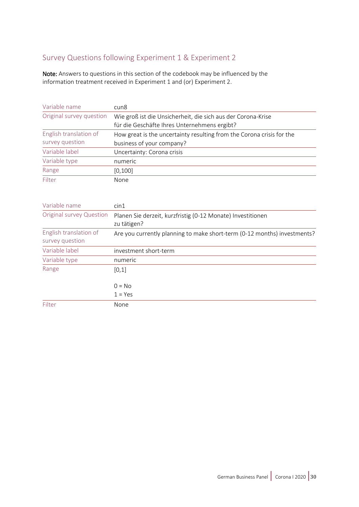## Survey Questions following Experiment 1 & Experiment 2

Note: Answers to questions in this section of the codebook may be influenced by the information treatment received in Experiment 1 and (or) Experiment 2.

| Variable name            | cun <sub>8</sub>                                                                                             |  |  |
|--------------------------|--------------------------------------------------------------------------------------------------------------|--|--|
| Original survey question | Wie groß ist die Unsicherheit, die sich aus der Corona-Krise<br>für die Geschäfte Ihres Unternehmens ergibt? |  |  |
| English translation of   | How great is the uncertainty resulting from the Corona crisis for the                                        |  |  |
| survey question          | business of your company?                                                                                    |  |  |
| Variable label           | Uncertainty: Corona crisis                                                                                   |  |  |
| Variable type            | numeric                                                                                                      |  |  |
| Range                    | [0, 100]                                                                                                     |  |  |
| Filter                   | None                                                                                                         |  |  |

| Variable name                             | $\sin 1$                                                                   |  |  |  |
|-------------------------------------------|----------------------------------------------------------------------------|--|--|--|
| <b>Original survey Question</b>           | Planen Sie derzeit, kurzfristig (0-12 Monate) Investitionen<br>zu tätigen? |  |  |  |
| English translation of<br>survey question | Are you currently planning to make short-term (0-12 months) investments?   |  |  |  |
| Variable label                            | investment short-term                                                      |  |  |  |
| Variable type                             | numeric                                                                    |  |  |  |
| Range                                     | [0,1]                                                                      |  |  |  |
|                                           | $0 = No$                                                                   |  |  |  |
|                                           | $1 = Yes$                                                                  |  |  |  |
| Filter                                    | None                                                                       |  |  |  |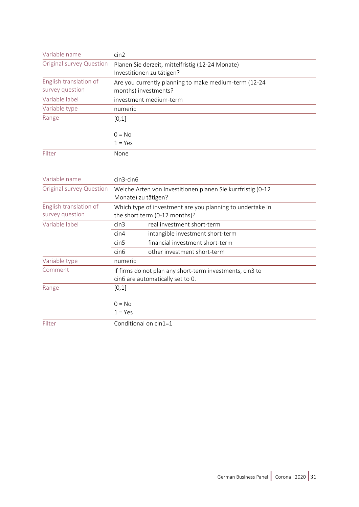| Variable name                             | cin2                                                                          |  |  |  |
|-------------------------------------------|-------------------------------------------------------------------------------|--|--|--|
| Original survey Question                  | Planen Sie derzeit, mittelfristig (12-24 Monate)<br>Investitionen zu tätigen? |  |  |  |
| English translation of<br>survey question | Are you currently planning to make medium-term (12-24<br>months) investments? |  |  |  |
| Variable label                            | investment medium-term                                                        |  |  |  |
| Variable type                             | numeric                                                                       |  |  |  |
| Range                                     | [0,1]                                                                         |  |  |  |
|                                           | $0 = No$                                                                      |  |  |  |
|                                           | $1 = Yes$                                                                     |  |  |  |
| Filter                                    | None                                                                          |  |  |  |

| Variable name            | $cin3$ -cin $6$                                             |                                  |  |
|--------------------------|-------------------------------------------------------------|----------------------------------|--|
| Original survey Question | Welche Arten von Investitionen planen Sie kurzfristig (0-12 |                                  |  |
|                          | Monate) zu tätigen?                                         |                                  |  |
| English translation of   | Which type of investment are you planning to undertake in   |                                  |  |
| survey question          | the short term (0-12 months)?                               |                                  |  |
| Variable label           | $\mathsf{cin}3$                                             | real investment short-term       |  |
|                          | $\mathsf{cin4}$                                             | intangible investment short-term |  |
|                          | $\mathsf{cin5}$                                             | financial investment short-term  |  |
|                          | cin6                                                        | other investment short-term      |  |
| Variable type            | numeric                                                     |                                  |  |
| Comment                  | If firms do not plan any short-term investments, cin3 to    |                                  |  |
|                          | cin6 are automatically set to 0.                            |                                  |  |
| Range                    | [0,1]                                                       |                                  |  |
|                          | $0 = No$                                                    |                                  |  |
|                          | $1 = Yes$                                                   |                                  |  |
| Filter                   | Conditional on cin1=1                                       |                                  |  |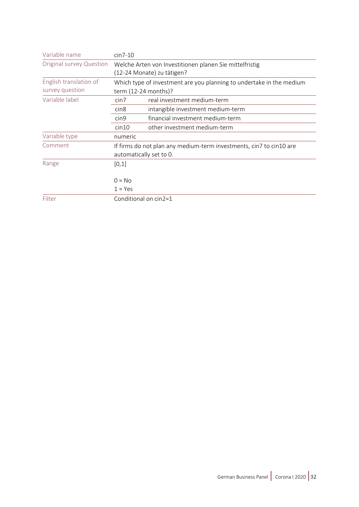| Variable name                   | $cin7-10$                                                                             |                                   |  |
|---------------------------------|---------------------------------------------------------------------------------------|-----------------------------------|--|
| <b>Original survey Question</b> | Welche Arten von Investitionen planen Sie mittelfristig<br>(12-24 Monate) zu tätigen? |                                   |  |
|                                 |                                                                                       |                                   |  |
| English translation of          | Which type of investment are you planning to undertake in the medium                  |                                   |  |
| survey question                 | term (12-24 months)?                                                                  |                                   |  |
| Variable label                  | $\mathsf{cin7}$                                                                       | real investment medium-term       |  |
|                                 | cin <sub>8</sub>                                                                      | intangible investment medium-term |  |
|                                 | cin <sub>9</sub>                                                                      | financial investment medium-term  |  |
|                                 | cin10                                                                                 | other investment medium-term      |  |
| Variable type                   | numeric                                                                               |                                   |  |
| Comment                         | If firms do not plan any medium-term investments, cin7 to cin10 are                   |                                   |  |
|                                 | automatically set to 0.                                                               |                                   |  |
| Range                           | [0,1]                                                                                 |                                   |  |
|                                 |                                                                                       |                                   |  |
|                                 | $0 = No$                                                                              |                                   |  |
|                                 | $1 = Yes$                                                                             |                                   |  |
| Filter                          | Conditional on cin2=1                                                                 |                                   |  |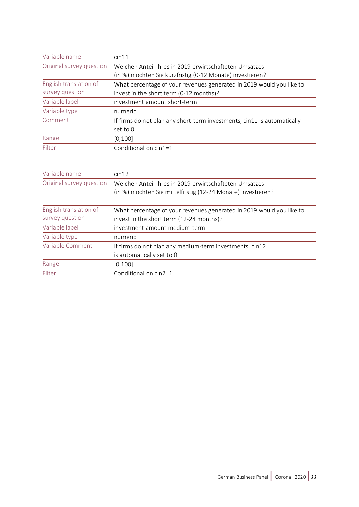| Variable name            | cin11                                                                   |
|--------------------------|-------------------------------------------------------------------------|
| Original survey question | Welchen Anteil Ihres in 2019 erwirtschafteten Umsatzes                  |
|                          | (in %) möchten Sie kurzfristig (0-12 Monate) investieren?               |
| English translation of   | What percentage of your revenues generated in 2019 would you like to    |
| survey question          | invest in the short term (0-12 months)?                                 |
| Variable label           | investment amount short-term                                            |
| Variable type            | numeric                                                                 |
| Comment                  | If firms do not plan any short-term investments, cin11 is automatically |
|                          | set to 0.                                                               |
| Range                    | [0, 100]                                                                |
| Filter                   | Conditional on cin1=1                                                   |
|                          |                                                                         |
|                          |                                                                         |
| Variable name            | cin12                                                                   |
| Original survey question | Welchen Anteil Ihres in 2019 erwirtschafteten Umsatzes                  |
|                          | (in %) möchten Sie mittelfristig (12-24 Monate) investieren?            |
|                          |                                                                         |
| English translation of   | What percentage of your revenues generated in 2019 would you like to    |
| survey question          | invest in the short term (12-24 months)?                                |
| Variable label           | investment amount medium-term                                           |
| Variable type            | numeric                                                                 |
| Variable Comment         | If firms do not plan any medium-term investments, cin12                 |
|                          | is automatically set to 0.                                              |
| Range                    | [0, 100]                                                                |
| Filter                   | Conditional on cin2=1                                                   |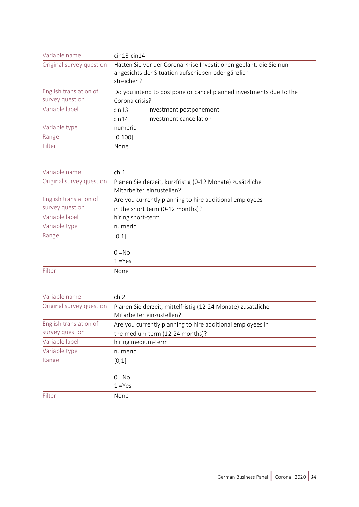| Variable name                             | $cin13$ -cin $14$ |                                                                                                                          |
|-------------------------------------------|-------------------|--------------------------------------------------------------------------------------------------------------------------|
| Original survey question                  | streichen?        | Hatten Sie vor der Corona-Krise Investitionen geplant, die Sie nun<br>angesichts der Situation aufschieben oder gänzlich |
| English translation of<br>survey question | Corona crisis?    | Do you intend to postpone or cancel planned investments due to the                                                       |
| Variable label                            | cin13             | investment postponement                                                                                                  |
|                                           | cin14             | investment cancellation                                                                                                  |
| Variable type                             | numeric           |                                                                                                                          |
| Range                                     | [0, 100]          |                                                                                                                          |
| Filter                                    | None              |                                                                                                                          |

| Variable name            | chi1                                                      |
|--------------------------|-----------------------------------------------------------|
| Original survey question | Planen Sie derzeit, kurzfristig (0-12 Monate) zusätzliche |
|                          | Mitarbeiter einzustellen?                                 |
| English translation of   | Are you currently planning to hire additional employees   |
| survey question          | in the short term (0-12 months)?                          |
| Variable label           | hiring short-term                                         |
| Variable type            | numeric                                                   |
| Range                    | [0,1]                                                     |
|                          |                                                           |
|                          | $0 = No$                                                  |
|                          | $1 = Yes$                                                 |
| Filter                   | None                                                      |

| Variable name            | chi <sub>2</sub>                                             |
|--------------------------|--------------------------------------------------------------|
| Original survey question | Planen Sie derzeit, mittelfristig (12-24 Monate) zusätzliche |
|                          | Mitarbeiter einzustellen?                                    |
| English translation of   | Are you currently planning to hire additional employees in   |
| survey question          | the medium term (12-24 months)?                              |
| Variable label           | hiring medium-term                                           |
| Variable type            | numeric                                                      |
| Range                    | [0,1]                                                        |
|                          |                                                              |
|                          | $0 = No$                                                     |
|                          | $1 = Yes$                                                    |
| Filter                   | None                                                         |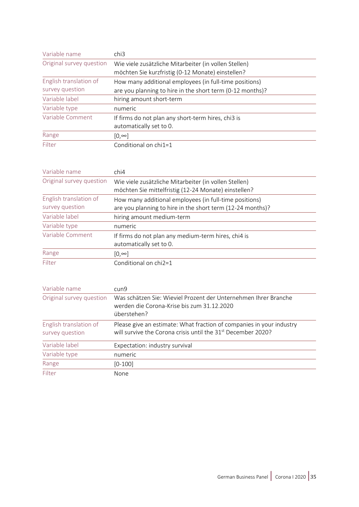| Variable name            | chi3                                                                                                       |
|--------------------------|------------------------------------------------------------------------------------------------------------|
| Original survey question | Wie viele zusätzliche Mitarbeiter (in vollen Stellen)<br>möchten Sie kurzfristig (0-12 Monate) einstellen? |
| English translation of   | How many additional employees (in full-time positions)                                                     |
| survey question          | are you planning to hire in the short term (0-12 months)?                                                  |
| Variable label           | hiring amount short-term                                                                                   |
| Variable type            | numeric                                                                                                    |
| Variable Comment         | If firms do not plan any short-term hires, chi3 is<br>automatically set to 0.                              |
| Range                    | $[0, \infty]$                                                                                              |
| Filter                   | Conditional on chi1=1                                                                                      |

| Variable name            | chi4                                                       |
|--------------------------|------------------------------------------------------------|
| Original survey question | Wie viele zusätzliche Mitarbeiter (in vollen Stellen)      |
|                          | möchten Sie mittelfristig (12-24 Monate) einstellen?       |
| English translation of   | How many additional employees (in full-time positions)     |
| survey question          | are you planning to hire in the short term (12-24 months)? |
| Variable label           | hiring amount medium-term                                  |
| Variable type            | numeric                                                    |
| Variable Comment         | If firms do not plan any medium-term hires, chi4 is        |
|                          | automatically set to 0.                                    |
| Range                    | $[0, \infty]$                                              |
| Filter                   | Conditional on chi2=1                                      |

| Variable name                             | cun9                                                                                                                                             |
|-------------------------------------------|--------------------------------------------------------------------------------------------------------------------------------------------------|
| Original survey question                  | Was schätzen Sie: Wieviel Prozent der Unternehmen Ihrer Branche<br>werden die Corona-Krise bis zum 31.12.2020<br>überstehen?                     |
| English translation of<br>survey question | Please give an estimate: What fraction of companies in your industry<br>will survive the Corona crisis until the 31 <sup>st</sup> December 2020? |
| Variable label                            | Expectation: industry survival                                                                                                                   |
| Variable type                             | numeric                                                                                                                                          |
| Range                                     | $[0-100]$                                                                                                                                        |
| Filter                                    | None                                                                                                                                             |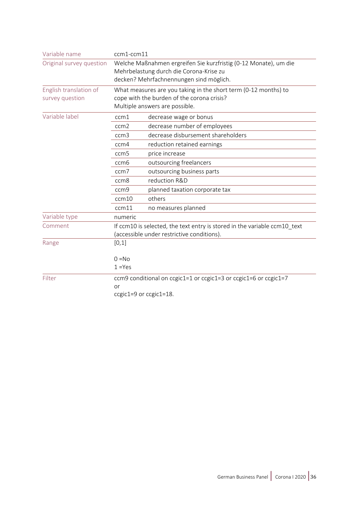| Variable name            | ccm1-ccm11                                                       |                                                                           |
|--------------------------|------------------------------------------------------------------|---------------------------------------------------------------------------|
| Original survey question | Welche Maßnahmen ergreifen Sie kurzfristig (0-12 Monate), um die |                                                                           |
|                          | Mehrbelastung durch die Corona-Krise zu                          |                                                                           |
|                          |                                                                  | decken? Mehrfachnennungen sind möglich.                                   |
| English translation of   |                                                                  | What measures are you taking in the short term (0-12 months) to           |
| survey question          | cope with the burden of the corona crisis?                       |                                                                           |
|                          |                                                                  | Multiple answers are possible.                                            |
| Variable label           | ccm1                                                             | decrease wage or bonus                                                    |
|                          | ccm2                                                             | decrease number of employees                                              |
|                          | ccm3                                                             | decrease disbursement shareholders                                        |
|                          | ccm4                                                             | reduction retained earnings                                               |
|                          | ccm <sub>5</sub>                                                 | price increase                                                            |
|                          | ccm <sub>6</sub>                                                 | outsourcing freelancers                                                   |
|                          | ccm7                                                             | outsourcing business parts                                                |
|                          | ccm <sub>8</sub>                                                 | reduction R&D                                                             |
|                          | ccm <sub>9</sub>                                                 | planned taxation corporate tax                                            |
|                          | ccm10                                                            | others                                                                    |
|                          | ccm11                                                            | no measures planned                                                       |
| Variable type            | numeric                                                          |                                                                           |
| Comment                  |                                                                  | If ccm10 is selected, the text entry is stored in the variable ccm10 text |
|                          |                                                                  | (accessible under restrictive conditions).                                |
| Range                    | [0,1]                                                            |                                                                           |
|                          | $0 = No$                                                         |                                                                           |
|                          | $1 = Yes$                                                        |                                                                           |
| Filter                   |                                                                  | ccm9 conditional on ccgic1=1 or ccgic1=3 or ccgic1=6 or ccgic1=7          |
|                          | or                                                               |                                                                           |
|                          |                                                                  | ccgic1=9 or ccgic1=18.                                                    |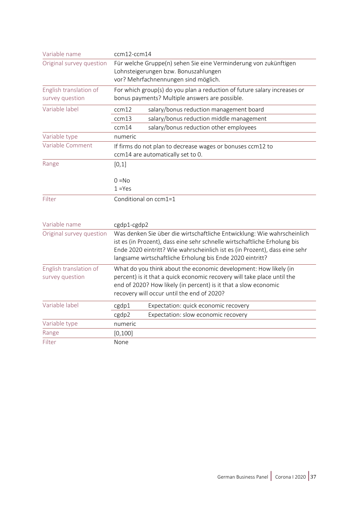| Variable name            | ccm12-ccm14                                                                |  |  |
|--------------------------|----------------------------------------------------------------------------|--|--|
| Original survey question | Für welche Gruppe(n) sehen Sie eine Verminderung von zukünftigen           |  |  |
|                          | Lohnsteigerungen bzw. Bonuszahlungen                                       |  |  |
|                          | vor? Mehrfachnennungen sind möglich.                                       |  |  |
| English translation of   | For which group(s) do you plan a reduction of future salary increases or   |  |  |
| survey question          | bonus payments? Multiple answers are possible.                             |  |  |
| Variable label           | ccm12<br>salary/bonus reduction management board                           |  |  |
|                          | salary/bonus reduction middle management<br>ccm13                          |  |  |
|                          | salary/bonus reduction other employees<br>ccm14                            |  |  |
| Variable type            | numeric                                                                    |  |  |
| Variable Comment         | If firms do not plan to decrease wages or bonuses ccm12 to                 |  |  |
|                          | ccm14 are automatically set to 0.                                          |  |  |
| Range                    | [0,1]                                                                      |  |  |
|                          |                                                                            |  |  |
|                          | $0 = No$                                                                   |  |  |
|                          | $1 = Yes$                                                                  |  |  |
| Filter                   | Conditional on ccm1=1                                                      |  |  |
|                          |                                                                            |  |  |
| Variable name            | cgdp1-cgdp2                                                                |  |  |
| Original survey question | Was denken Sie über die wirtschaftliche Entwicklung: Wie wahrscheinlich    |  |  |
|                          | ist es (in Prozent), dass eine sehr schnelle wirtschaftliche Erholung bis  |  |  |
|                          | Ende 2020 eintritt? Wie wahrscheinlich ist es (in Prozent), dass eine sehr |  |  |
|                          | langsame wirtschaftliche Erholung bis Ende 2020 eintritt?                  |  |  |
| English translation of   | What do you think about the economic development: How likely (in           |  |  |
| survey question          | percent) is it that a quick economic recovery will take place until the    |  |  |
|                          | end of 2020? How likely (in percent) is it that a slow economic            |  |  |
|                          | recovery will occur until the end of 2020?                                 |  |  |
| Variable label           | Expectation: quick economic recovery<br>cgdp1                              |  |  |
|                          | Expectation: slow economic recovery<br>cgdp2                               |  |  |
| Variable type            | numeric                                                                    |  |  |
| Range                    | [0, 100]                                                                   |  |  |
| Filter                   | None                                                                       |  |  |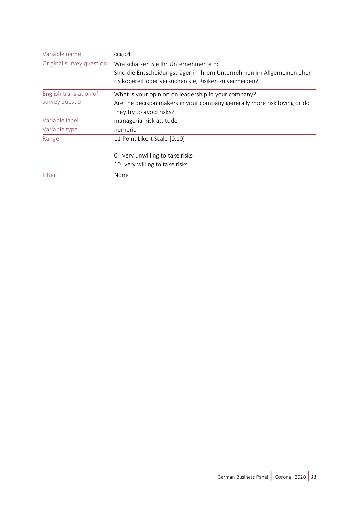| Variable name            | ccgic4                                                                   |
|--------------------------|--------------------------------------------------------------------------|
| Original survey question | Wie schätzen Sie Ihr Unternehmen ein:                                    |
|                          | Sind die Entscheidungsträger in Ihrem Unternehmen im Allgemeinen eher    |
|                          | risikobereit oder versuchen sie, Risiken zu vermeiden?                   |
| English translation of   | What is your opinion on leadership in your company?                      |
| survey question          | Are the decision makers in your company generally more risk loving or do |
|                          | they try to avoid risks?                                                 |
| Variable label           | managerial risk attitude                                                 |
| Variable type            | numeric                                                                  |
| Range                    | 11 Point Likert Scale [0,10]                                             |
|                          | 0 = very unwilling to take risks                                         |
|                          | 10=very willing to take risks                                            |
| Filter                   | None                                                                     |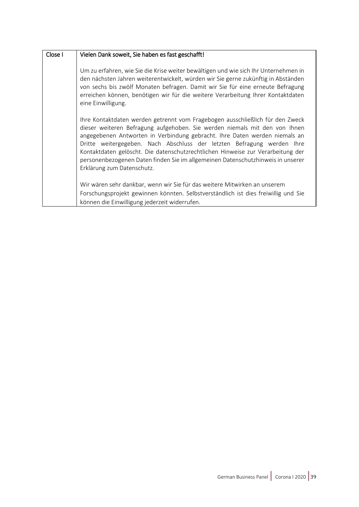| Close I | Vielen Dank soweit, Sie haben es fast geschafft!                                                                                                                                                                                                                                                                                                                                                                                                                                                                        |
|---------|-------------------------------------------------------------------------------------------------------------------------------------------------------------------------------------------------------------------------------------------------------------------------------------------------------------------------------------------------------------------------------------------------------------------------------------------------------------------------------------------------------------------------|
|         | Um zu erfahren, wie Sie die Krise weiter bewältigen und wie sich Ihr Unternehmen in<br>den nächsten Jahren weiterentwickelt, würden wir Sie gerne zukünftig in Abständen<br>von sechs bis zwölf Monaten befragen. Damit wir Sie für eine erneute Befragung<br>erreichen können, benötigen wir für die weitere Verarbeitung Ihrer Kontaktdaten<br>eine Einwilligung.                                                                                                                                                     |
|         | Ihre Kontaktdaten werden getrennt vom Fragebogen ausschließlich für den Zweck<br>dieser weiteren Befragung aufgehoben. Sie werden niemals mit den von Ihnen<br>angegebenen Antworten in Verbindung gebracht. Ihre Daten werden niemals an<br>Dritte weitergegeben. Nach Abschluss der letzten Befragung werden Ihre<br>Kontaktdaten gelöscht. Die datenschutzrechtlichen Hinweise zur Verarbeitung der<br>personenbezogenen Daten finden Sie im allgemeinen Datenschutzhinweis in unserer<br>Erklärung zum Datenschutz. |
|         | Wir wären sehr dankbar, wenn wir Sie für das weitere Mitwirken an unserem<br>Forschungsprojekt gewinnen könnten. Selbstverständlich ist dies freiwillig und Sie<br>können die Einwilligung jederzeit widerrufen.                                                                                                                                                                                                                                                                                                        |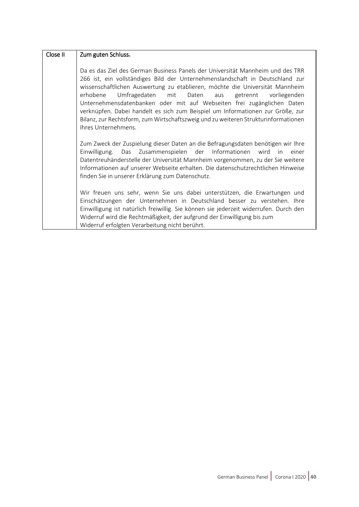| Close II | Zum guten Schluss.                                                                                                                                                                                                                                                                                                                                                                                                                                                                                                                                                                             |
|----------|------------------------------------------------------------------------------------------------------------------------------------------------------------------------------------------------------------------------------------------------------------------------------------------------------------------------------------------------------------------------------------------------------------------------------------------------------------------------------------------------------------------------------------------------------------------------------------------------|
|          | Da es das Ziel des German Business Panels der Universität Mannheim und des TRR<br>266 ist, ein vollständiges Bild der Unternehmenslandschaft in Deutschland zur<br>wissenschaftlichen Auswertung zu etablieren, möchte die Universität Mannheim<br>Umfragedaten mit Daten aus<br>erhobene<br>getrennt<br>vorliegenden<br>Unternehmensdatenbanken oder mit auf Webseiten frei zugänglichen Daten<br>verknüpfen. Dabei handelt es sich zum Beispiel um Informationen zur Größe, zur<br>Bilanz, zur Rechtsform, zum Wirtschaftszweig und zu weiteren Strukturinformationen<br>Ihres Unternehmens. |
|          | Zum Zweck der Zuspielung dieser Daten an die Befragungsdaten benötigen wir Ihre<br>Einwilligung. Das Zusammenspielen der Informationen wird in einer<br>Datentreuhänderstelle der Universität Mannheim vorgenommen, zu der Sie weitere<br>Informationen auf unserer Webseite erhalten. Die datenschutzrechtlichen Hinweise<br>finden Sie in unserer Erklärung zum Datenschutz.                                                                                                                                                                                                                 |
|          | Wir freuen uns sehr, wenn Sie uns dabei unterstützen, die Erwartungen und<br>Einschätzungen der Unternehmen in Deutschland besser zu verstehen. Ihre<br>Einwilligung ist natürlich freiwillig. Sie können sie jederzeit widerrufen. Durch den<br>Widerruf wird die Rechtmäßigkeit, der aufgrund der Einwilligung bis zum<br>Widerruf erfolgten Verarbeitung nicht berührt.                                                                                                                                                                                                                     |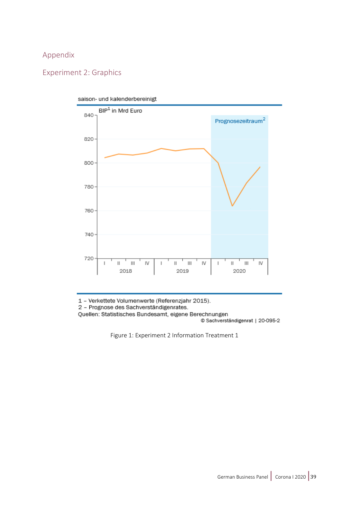### Appendix

## Experiment 2: Graphics



saison- und kalenderbereinigt

1 - Verkettete Volumenwerte (Referenzjahr 2015).

2 - Prognose des Sachverständigenrates.

<span id="page-40-0"></span>Quellen: Statistisches Bundesamt, eigene Berechnungen

© Sachverständigenrat | 20-095-2

Figure 1: Experiment 2 Information Treatment 1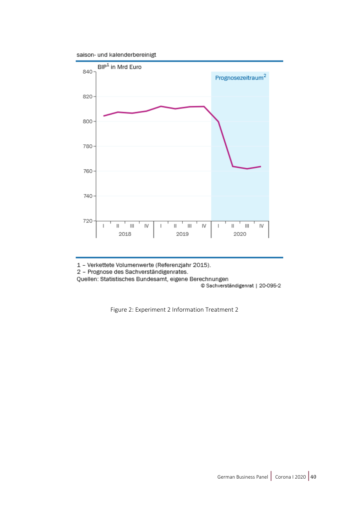saison- und kalenderbereinigt



1 - Verkettete Volumenwerte (Referenzjahr 2015).

2 - Prognose des Sachverständigenrates.

Quellen: Statistisches Bundesamt, eigene Berechnungen

© Sachverständigenrat | 20-095-2

Figure 2: Experiment 2 Information Treatment 2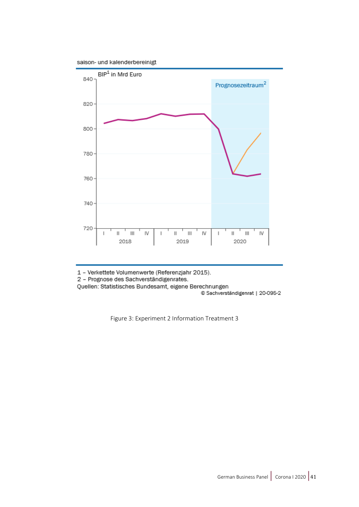saison- und kalenderbereinigt



1 - Verkettete Volumenwerte (Referenzjahr 2015).

2 - Prognose des Sachverständigenrates.

Quellen: Statistisches Bundesamt, eigene Berechnungen

© Sachverständigenrat | 20-095-2

Figure 3: Experiment 2 Information Treatment 3